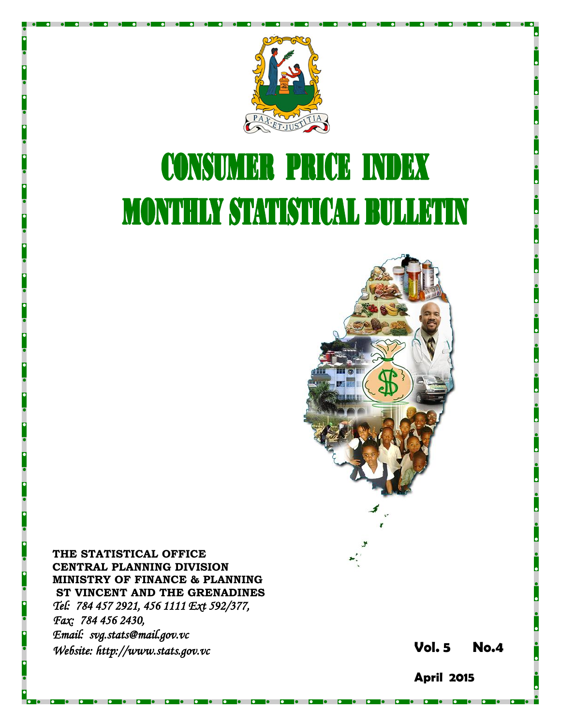

# **CONSUMER PRICE INDEX MONTHLY STATISTICAL BULLETIN**



**THE STATISTICAL OFFICE CENTRAL PLANNING DIVISION MINISTRY OF FINANCE & PLANNING ST VINCENT AND THE GRENADINES** *Tel: 784 457 2921, 456 1111 Ext 592/377, Fax: 784 456 2430, Email: svg.stats@mail.gov.vc Website: http://www.stats.gov.vc* **Vol.** 

**5 No. 4**

**April 2015**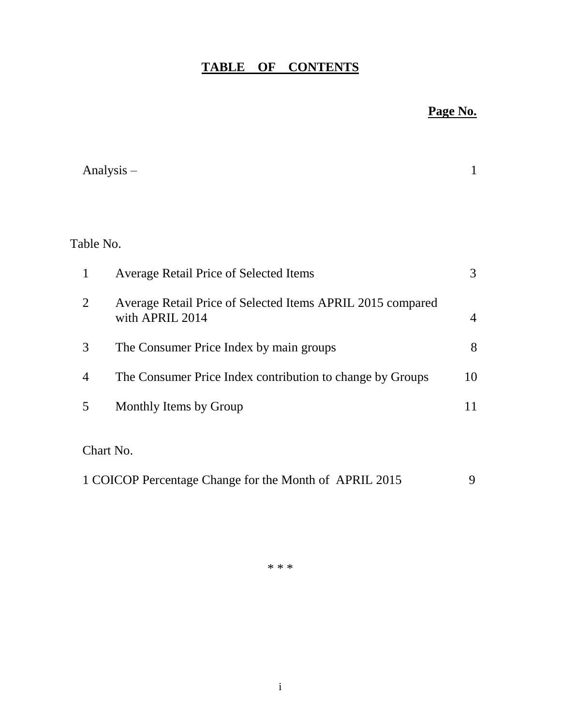# **TABLE OF CONTENTS**

# **Page No.**

|                | Analysis $-$                                                                  | 1              |
|----------------|-------------------------------------------------------------------------------|----------------|
|                |                                                                               |                |
| Table No.      |                                                                               |                |
| 1              | <b>Average Retail Price of Selected Items</b>                                 | 3              |
| $\overline{2}$ | Average Retail Price of Selected Items APRIL 2015 compared<br>with APRIL 2014 | $\overline{4}$ |
| 3              | The Consumer Price Index by main groups                                       | 8              |
| $\overline{4}$ | The Consumer Price Index contribution to change by Groups                     | 10             |
| 5              | Monthly Items by Group                                                        | 11             |
|                | Chart No.                                                                     |                |
|                | 1 COICOP Percentage Change for the Month of APRIL 2015                        | 9              |

\* \* \*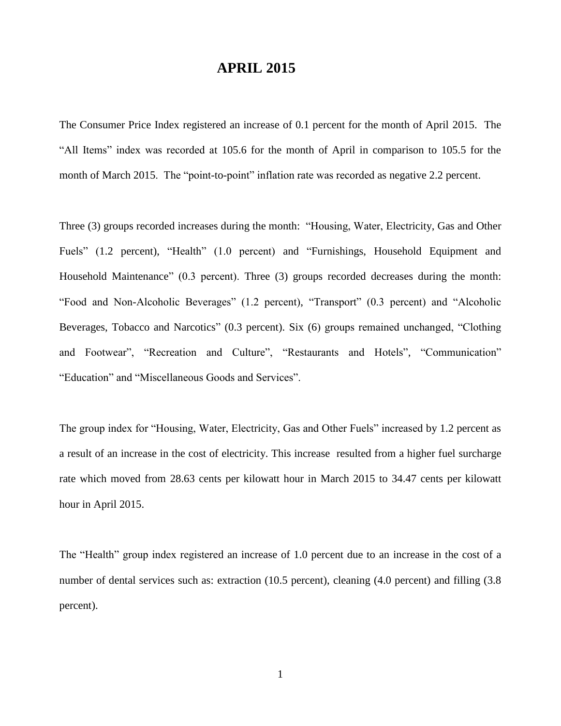## **APRIL 2015**

The Consumer Price Index registered an increase of 0.1 percent for the month of April 2015. The "All Items" index was recorded at 105.6 for the month of April in comparison to 105.5 for the month of March 2015. The "point-to-point" inflation rate was recorded as negative 2.2 percent.

Three (3) groups recorded increases during the month: "Housing, Water, Electricity, Gas and Other Fuels" (1.2 percent), "Health" (1.0 percent) and "Furnishings, Household Equipment and Household Maintenance" (0.3 percent). Three (3) groups recorded decreases during the month: "Food and Non-Alcoholic Beverages" (1.2 percent), "Transport" (0.3 percent) and "Alcoholic Beverages, Tobacco and Narcotics" (0.3 percent). Six (6) groups remained unchanged, "Clothing and Footwear", "Recreation and Culture", "Restaurants and Hotels", "Communication" "Education" and "Miscellaneous Goods and Services".

The group index for "Housing, Water, Electricity, Gas and Other Fuels" increased by 1.2 percent as a result of an increase in the cost of electricity. This increase resulted from a higher fuel surcharge rate which moved from 28.63 cents per kilowatt hour in March 2015 to 34.47 cents per kilowatt hour in April 2015.

The "Health" group index registered an increase of 1.0 percent due to an increase in the cost of a number of dental services such as: extraction (10.5 percent), cleaning (4.0 percent) and filling (3.8 percent).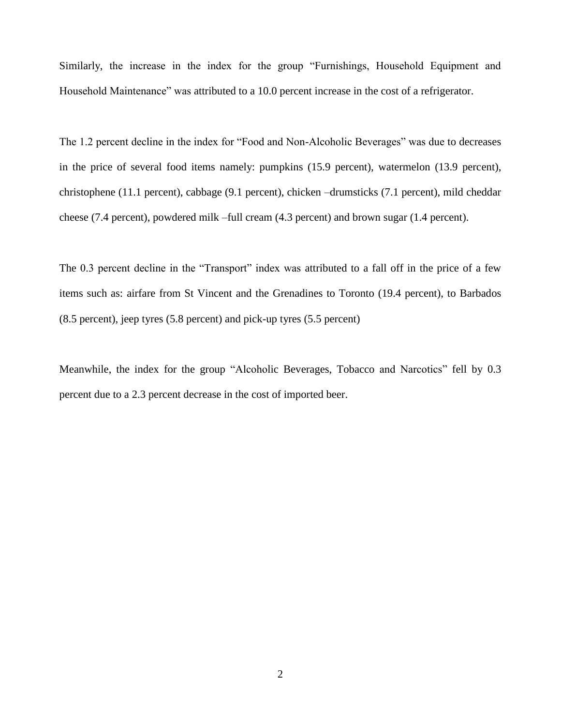Similarly, the increase in the index for the group "Furnishings, Household Equipment and Household Maintenance" was attributed to a 10.0 percent increase in the cost of a refrigerator.

The 1.2 percent decline in the index for "Food and Non-Alcoholic Beverages" was due to decreases in the price of several food items namely: pumpkins (15.9 percent), watermelon (13.9 percent), christophene (11.1 percent), cabbage (9.1 percent), chicken –drumsticks (7.1 percent), mild cheddar cheese (7.4 percent), powdered milk –full cream (4.3 percent) and brown sugar (1.4 percent).

The 0.3 percent decline in the "Transport" index was attributed to a fall off in the price of a few items such as: airfare from St Vincent and the Grenadines to Toronto (19.4 percent), to Barbados (8.5 percent), jeep tyres (5.8 percent) and pick-up tyres (5.5 percent)

Meanwhile, the index for the group "Alcoholic Beverages, Tobacco and Narcotics" fell by 0.3 percent due to a 2.3 percent decrease in the cost of imported beer.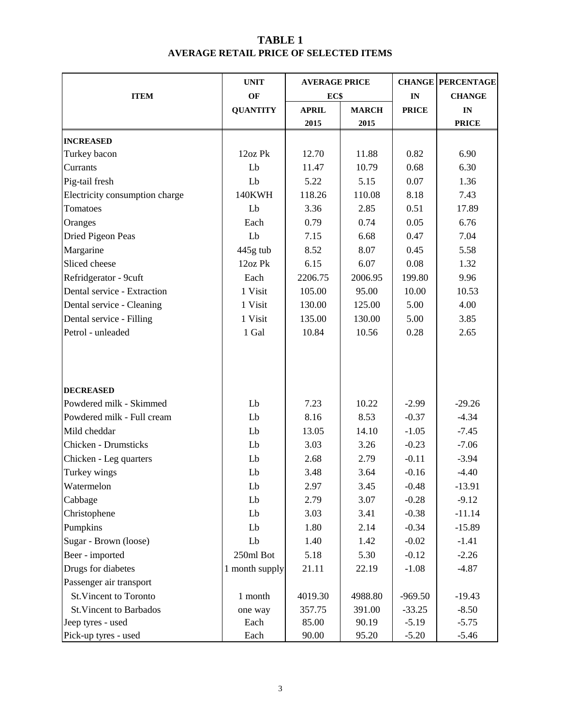## **TABLE 1 AVERAGE RETAIL PRICE OF SELECTED ITEMS**

|                                | <b>UNIT</b>     | <b>AVERAGE PRICE</b> |              |              | <b>CHANGE PERCENTAGE</b> |
|--------------------------------|-----------------|----------------------|--------------|--------------|--------------------------|
| <b>ITEM</b>                    | OF              | EC\$                 |              | IN           | <b>CHANGE</b>            |
|                                | <b>QUANTITY</b> | <b>APRIL</b>         | <b>MARCH</b> | <b>PRICE</b> | IN                       |
|                                |                 | 2015                 | 2015         |              | <b>PRICE</b>             |
| <b>INCREASED</b>               |                 |                      |              |              |                          |
| Turkey bacon                   | 12oz Pk         | 12.70                | 11.88        | 0.82         | 6.90                     |
| Currants                       | Lb              | 11.47                | 10.79        | 0.68         | 6.30                     |
| Pig-tail fresh                 | Lb              | 5.22                 | 5.15         | 0.07         | 1.36                     |
| Electricity consumption charge | 140KWH          | 118.26               | 110.08       | 8.18         | 7.43                     |
| Tomatoes                       | Lb              | 3.36                 | 2.85         | 0.51         | 17.89                    |
| Oranges                        | Each            | 0.79                 | 0.74         | 0.05         | 6.76                     |
| Dried Pigeon Peas              | Lb              | 7.15                 | 6.68         | 0.47         | 7.04                     |
| Margarine                      | $445g$ tub      | 8.52                 | 8.07         | 0.45         | 5.58                     |
| Sliced cheese                  | 12oz Pk         | 6.15                 | 6.07         | 0.08         | 1.32                     |
| Refridgerator - 9cuft          | Each            | 2206.75              | 2006.95      | 199.80       | 9.96                     |
| Dental service - Extraction    | 1 Visit         | 105.00               | 95.00        | 10.00        | 10.53                    |
| Dental service - Cleaning      | 1 Visit         | 130.00               | 125.00       | 5.00         | 4.00                     |
| Dental service - Filling       | 1 Visit         | 135.00               | 130.00       | 5.00         | 3.85                     |
| Petrol - unleaded              | 1 Gal           | 10.84                | 10.56        | 0.28         | 2.65                     |
|                                |                 |                      |              |              |                          |
| <b>DECREASED</b>               |                 |                      |              |              |                          |
| Powdered milk - Skimmed        | Lb              | 7.23                 | 10.22        | $-2.99$      | $-29.26$                 |
| Powdered milk - Full cream     | Lb              | 8.16                 | 8.53         | $-0.37$      | $-4.34$                  |
| Mild cheddar                   | Lb              | 13.05                | 14.10        | $-1.05$      | $-7.45$                  |
| <b>Chicken - Drumsticks</b>    | Lb              | 3.03                 | 3.26         | $-0.23$      | $-7.06$                  |
| Chicken - Leg quarters         | Lb              | 2.68                 | 2.79         | $-0.11$      | $-3.94$                  |
| Turkey wings                   | Lb              | 3.48                 | 3.64         | $-0.16$      | $-4.40$                  |
| Watermelon                     | ${\rm Lb}$      | 2.97                 | 3.45         | $-0.48$      | $-13.91$                 |
| Cabbage                        | Lb              | 2.79                 | 3.07         | $-0.28$      | $-9.12$                  |
| Christophene                   | Lb              | 3.03                 | 3.41         | $-0.38$      | $-11.14$                 |
| Pumpkins                       | Lb              | 1.80                 | 2.14         | $-0.34$      | $-15.89$                 |
| Sugar - Brown (loose)          | Lb              | 1.40                 | 1.42         | $-0.02$      | $-1.41$                  |
| Beer - imported                | 250ml Bot       | 5.18                 | 5.30         | $-0.12$      | $-2.26$                  |
| Drugs for diabetes             | 1 month supply  | 21.11                | 22.19        | $-1.08$      | $-4.87$                  |
| Passenger air transport        |                 |                      |              |              |                          |
| <b>St. Vincent to Toronto</b>  | 1 month         | 4019.30              | 4988.80      | $-969.50$    | $-19.43$                 |
| <b>St. Vincent to Barbados</b> | one way         | 357.75               | 391.00       | $-33.25$     | $-8.50$                  |
| Jeep tyres - used              | Each            | 85.00                | 90.19        | $-5.19$      | $-5.75$                  |
| Pick-up tyres - used           | Each            | 90.00                | 95.20        | $-5.20$      | $-5.46$                  |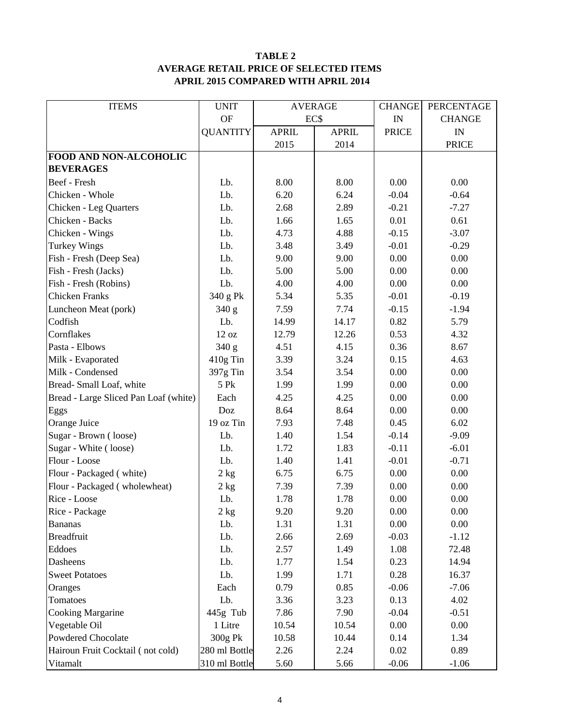#### **TABLE 2 AVERAGE RETAIL PRICE OF SELECTED ITEMS APRIL 2015 COMPARED WITH APRIL 2014**

| <b>ITEMS</b>                          | <b>UNIT</b>      | <b>AVERAGE</b> |              | <b>CHANGE</b>            | PERCENTAGE    |
|---------------------------------------|------------------|----------------|--------------|--------------------------|---------------|
|                                       | <b>OF</b>        | EC\$           |              | $\ensuremath{\text{IN}}$ | <b>CHANGE</b> |
|                                       | <b>QUANTITY</b>  | <b>APRIL</b>   | <b>APRIL</b> | <b>PRICE</b>             | IN            |
|                                       |                  | 2015           | 2014         |                          | <b>PRICE</b>  |
| FOOD AND NON-ALCOHOLIC                |                  |                |              |                          |               |
| <b>BEVERAGES</b>                      |                  |                |              |                          |               |
| Beef - Fresh                          | Lb.              | 8.00           | 8.00         | 0.00                     | 0.00          |
| Chicken - Whole                       | Lb.              | 6.20           | 6.24         | $-0.04$                  | $-0.64$       |
| Chicken - Leg Quarters                | Lb.              | 2.68           | 2.89         | $-0.21$                  | $-7.27$       |
| Chicken - Backs                       | Lb.              | 1.66           | 1.65         | 0.01                     | 0.61          |
| Chicken - Wings                       | Lb.              | 4.73           | 4.88         | $-0.15$                  | $-3.07$       |
| <b>Turkey Wings</b>                   | Lb.              | 3.48           | 3.49         | $-0.01$                  | $-0.29$       |
| Fish - Fresh (Deep Sea)               | Lb.              | 9.00           | 9.00         | 0.00                     | 0.00          |
| Fish - Fresh (Jacks)                  | Lb.              | 5.00           | 5.00         | 0.00                     | 0.00          |
| Fish - Fresh (Robins)                 | Lb.              | 4.00           | 4.00         | 0.00                     | 0.00          |
| <b>Chicken Franks</b>                 | 340 g Pk         | 5.34           | 5.35         | $-0.01$                  | $-0.19$       |
| Luncheon Meat (pork)                  | 340 g            | 7.59           | 7.74         | $-0.15$                  | $-1.94$       |
| Codfish                               | Lb.              | 14.99          | 14.17        | 0.82                     | 5.79          |
| Cornflakes                            | 12 oz            | 12.79          | 12.26        | 0.53                     | 4.32          |
| Pasta - Elbows                        | 340 g            | 4.51           | 4.15         | 0.36                     | 8.67          |
| Milk - Evaporated                     | 410g Tin         | 3.39           | 3.24         | 0.15                     | 4.63          |
| Milk - Condensed                      | 397g Tin         | 3.54           | 3.54         | 0.00                     | 0.00          |
| Bread-Small Loaf, white               | 5 Pk             | 1.99           | 1.99         | 0.00                     | 0.00          |
| Bread - Large Sliced Pan Loaf (white) | Each             | 4.25           | 4.25         | 0.00                     | 0.00          |
| Eggs                                  | Doz              | 8.64           | 8.64         | 0.00                     | 0.00          |
| Orange Juice                          | 19 oz Tin        | 7.93           | 7.48         | 0.45                     | 6.02          |
| Sugar - Brown (loose)                 | Lb.              | 1.40           | 1.54         | $-0.14$                  | $-9.09$       |
| Sugar - White (loose)                 | Lb.              | 1.72           | 1.83         | $-0.11$                  | $-6.01$       |
| Flour - Loose                         | Lb.              | 1.40           | 1.41         | $-0.01$                  | $-0.71$       |
| Flour - Packaged (white)              | 2 kg             | 6.75           | 6.75         | 0.00                     | 0.00          |
| Flour - Packaged (wholewheat)         | 2 kg             | 7.39           | 7.39         | 0.00                     | 0.00          |
| Rice - Loose                          | Lb.              | 1.78           | 1.78         | 0.00                     | 0.00          |
| Rice - Package                        | $2\ \mathrm{kg}$ | 9.20           | 9.20         | 0.00                     | 0.00          |
| <b>Bananas</b>                        | Lb.              | 1.31           | 1.31         | 0.00                     | 0.00          |
| <b>Breadfruit</b>                     | Lb.              | 2.66           | 2.69         | $-0.03$                  | $-1.12$       |
| Eddoes                                | Lb.              | 2.57           | 1.49         | 1.08                     | 72.48         |
| Dasheens                              | Lb.              | 1.77           | 1.54         | 0.23                     | 14.94         |
| <b>Sweet Potatoes</b>                 | Lb.              | 1.99           | 1.71         | 0.28                     | 16.37         |
| Oranges                               | Each             | 0.79           | 0.85         | $-0.06$                  | $-7.06$       |
| Tomatoes                              | Lb.              | 3.36           | 3.23         | 0.13                     | 4.02          |
| <b>Cooking Margarine</b>              | 445g Tub         | 7.86           | 7.90         | $-0.04$                  | $-0.51$       |
| Vegetable Oil                         | 1 Litre          | 10.54          | 10.54        | 0.00                     | 0.00          |
| Powdered Chocolate                    | 300g Pk          | 10.58          | 10.44        | 0.14                     | 1.34          |
| Hairoun Fruit Cocktail (not cold)     | 280 ml Bottle    | 2.26           | 2.24         | 0.02                     | 0.89          |
| Vitamalt                              | 310 ml Bottle    | 5.60           | 5.66         | $-0.06$                  | $-1.06$       |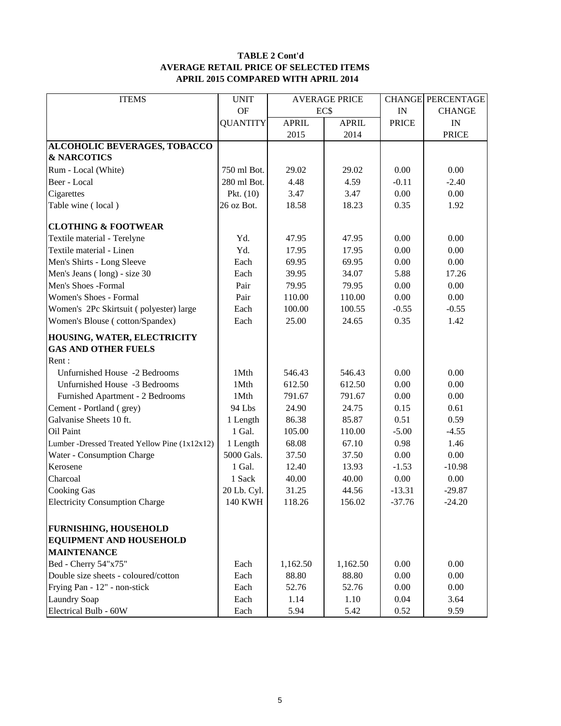#### **TABLE 2 Cont'd AVERAGE RETAIL PRICE OF SELECTED ITEMS APRIL 2015 COMPARED WITH APRIL 2014**

| <b>OF</b><br>EC\$<br>IN<br><b>CHANGE</b><br><b>QUANTITY</b><br><b>APRIL</b><br><b>APRIL</b><br><b>PRICE</b><br>$\mathbf{IN}$<br>2015<br>2014<br><b>PRICE</b><br>ALCOHOLIC BEVERAGES, TOBACCO<br><b>&amp; NARCOTICS</b><br>Rum - Local (White)<br>750 ml Bot.<br>29.02<br>0.00<br>0.00<br>29.02<br>Beer - Local<br>280 ml Bot.<br>4.48<br>4.59<br>$-0.11$<br>$-2.40$<br>3.47<br>$0.00\,$<br>Cigarettes<br>Pkt. $(10)$<br>3.47<br>0.00<br>Table wine (local)<br>26 oz Bot.<br>18.58<br>18.23<br>0.35<br>1.92<br><b>CLOTHING &amp; FOOTWEAR</b><br>Textile material - Terelyne<br>Yd.<br>47.95<br>47.95<br>0.00<br>0.00<br>Textile material - Linen<br>Yd.<br>0.00<br>17.95<br>17.95<br>0.00<br>0.00<br>Men's Shirts - Long Sleeve<br>Each<br>69.95<br>69.95<br>0.00<br>Men's Jeans (long) - size 30<br>Each<br>39.95<br>34.07<br>5.88<br>17.26<br>Men's Shoes -Formal<br>Pair<br>79.95<br>79.95<br>0.00<br>0.00<br>Women's Shoes - Formal<br>Pair<br>110.00<br>110.00<br>0.00<br>0.00<br>Women's 2Pc Skirtsuit (polyester) large<br>Each<br>100.00<br>100.55<br>$-0.55$<br>$-0.55$<br>25.00<br>Women's Blouse (cotton/Spandex)<br>Each<br>24.65<br>0.35<br>1.42<br>HOUSING, WATER, ELECTRICITY<br><b>GAS AND OTHER FUELS</b><br>Unfurnished House -2 Bedrooms<br>1Mth<br>0.00<br>0.00<br>546.43<br>546.43<br>0.00<br>0.00<br>Unfurnished House -3 Bedrooms<br>1Mth<br>612.50<br>612.50<br>Furnished Apartment - 2 Bedrooms<br>1Mth<br>0.00<br>0.00<br>791.67<br>791.67<br>0.61<br>Cement - Portland (grey)<br>94 Lbs<br>24.90<br>24.75<br>0.15<br>Galvanise Sheets 10 ft.<br>0.59<br>1 Length<br>86.38<br>85.87<br>0.51<br>1 Gal.<br>Oil Paint<br>105.00<br>110.00<br>$-5.00$<br>$-4.55$<br>1.46<br>Lumber -Dressed Treated Yellow Pine (1x12x12)<br>68.08<br>67.10<br>0.98<br>1 Length<br>Water - Consumption Charge<br>5000 Gals.<br>37.50<br>37.50<br>0.00<br>0.00<br>Kerosene<br>1 Gal.<br>12.40<br>13.93<br>$-1.53$<br>$-10.98$ | <b>ITEMS</b>                                 | <b>UNIT</b> | <b>AVERAGE PRICE</b> |       |      | <b>CHANGE PERCENTAGE</b> |  |
|------------------------------------------------------------------------------------------------------------------------------------------------------------------------------------------------------------------------------------------------------------------------------------------------------------------------------------------------------------------------------------------------------------------------------------------------------------------------------------------------------------------------------------------------------------------------------------------------------------------------------------------------------------------------------------------------------------------------------------------------------------------------------------------------------------------------------------------------------------------------------------------------------------------------------------------------------------------------------------------------------------------------------------------------------------------------------------------------------------------------------------------------------------------------------------------------------------------------------------------------------------------------------------------------------------------------------------------------------------------------------------------------------------------------------------------------------------------------------------------------------------------------------------------------------------------------------------------------------------------------------------------------------------------------------------------------------------------------------------------------------------------------------------------------------------------------------------------------------------------------------------------------------------------------------------|----------------------------------------------|-------------|----------------------|-------|------|--------------------------|--|
|                                                                                                                                                                                                                                                                                                                                                                                                                                                                                                                                                                                                                                                                                                                                                                                                                                                                                                                                                                                                                                                                                                                                                                                                                                                                                                                                                                                                                                                                                                                                                                                                                                                                                                                                                                                                                                                                                                                                    |                                              |             |                      |       |      |                          |  |
|                                                                                                                                                                                                                                                                                                                                                                                                                                                                                                                                                                                                                                                                                                                                                                                                                                                                                                                                                                                                                                                                                                                                                                                                                                                                                                                                                                                                                                                                                                                                                                                                                                                                                                                                                                                                                                                                                                                                    |                                              |             |                      |       |      |                          |  |
|                                                                                                                                                                                                                                                                                                                                                                                                                                                                                                                                                                                                                                                                                                                                                                                                                                                                                                                                                                                                                                                                                                                                                                                                                                                                                                                                                                                                                                                                                                                                                                                                                                                                                                                                                                                                                                                                                                                                    |                                              |             |                      |       |      |                          |  |
|                                                                                                                                                                                                                                                                                                                                                                                                                                                                                                                                                                                                                                                                                                                                                                                                                                                                                                                                                                                                                                                                                                                                                                                                                                                                                                                                                                                                                                                                                                                                                                                                                                                                                                                                                                                                                                                                                                                                    |                                              |             |                      |       |      |                          |  |
|                                                                                                                                                                                                                                                                                                                                                                                                                                                                                                                                                                                                                                                                                                                                                                                                                                                                                                                                                                                                                                                                                                                                                                                                                                                                                                                                                                                                                                                                                                                                                                                                                                                                                                                                                                                                                                                                                                                                    |                                              |             |                      |       |      |                          |  |
|                                                                                                                                                                                                                                                                                                                                                                                                                                                                                                                                                                                                                                                                                                                                                                                                                                                                                                                                                                                                                                                                                                                                                                                                                                                                                                                                                                                                                                                                                                                                                                                                                                                                                                                                                                                                                                                                                                                                    |                                              |             |                      |       |      |                          |  |
|                                                                                                                                                                                                                                                                                                                                                                                                                                                                                                                                                                                                                                                                                                                                                                                                                                                                                                                                                                                                                                                                                                                                                                                                                                                                                                                                                                                                                                                                                                                                                                                                                                                                                                                                                                                                                                                                                                                                    |                                              |             |                      |       |      |                          |  |
|                                                                                                                                                                                                                                                                                                                                                                                                                                                                                                                                                                                                                                                                                                                                                                                                                                                                                                                                                                                                                                                                                                                                                                                                                                                                                                                                                                                                                                                                                                                                                                                                                                                                                                                                                                                                                                                                                                                                    |                                              |             |                      |       |      |                          |  |
|                                                                                                                                                                                                                                                                                                                                                                                                                                                                                                                                                                                                                                                                                                                                                                                                                                                                                                                                                                                                                                                                                                                                                                                                                                                                                                                                                                                                                                                                                                                                                                                                                                                                                                                                                                                                                                                                                                                                    |                                              |             |                      |       |      |                          |  |
|                                                                                                                                                                                                                                                                                                                                                                                                                                                                                                                                                                                                                                                                                                                                                                                                                                                                                                                                                                                                                                                                                                                                                                                                                                                                                                                                                                                                                                                                                                                                                                                                                                                                                                                                                                                                                                                                                                                                    |                                              |             |                      |       |      |                          |  |
|                                                                                                                                                                                                                                                                                                                                                                                                                                                                                                                                                                                                                                                                                                                                                                                                                                                                                                                                                                                                                                                                                                                                                                                                                                                                                                                                                                                                                                                                                                                                                                                                                                                                                                                                                                                                                                                                                                                                    |                                              |             |                      |       |      |                          |  |
|                                                                                                                                                                                                                                                                                                                                                                                                                                                                                                                                                                                                                                                                                                                                                                                                                                                                                                                                                                                                                                                                                                                                                                                                                                                                                                                                                                                                                                                                                                                                                                                                                                                                                                                                                                                                                                                                                                                                    |                                              |             |                      |       |      |                          |  |
|                                                                                                                                                                                                                                                                                                                                                                                                                                                                                                                                                                                                                                                                                                                                                                                                                                                                                                                                                                                                                                                                                                                                                                                                                                                                                                                                                                                                                                                                                                                                                                                                                                                                                                                                                                                                                                                                                                                                    |                                              |             |                      |       |      |                          |  |
|                                                                                                                                                                                                                                                                                                                                                                                                                                                                                                                                                                                                                                                                                                                                                                                                                                                                                                                                                                                                                                                                                                                                                                                                                                                                                                                                                                                                                                                                                                                                                                                                                                                                                                                                                                                                                                                                                                                                    |                                              |             |                      |       |      |                          |  |
|                                                                                                                                                                                                                                                                                                                                                                                                                                                                                                                                                                                                                                                                                                                                                                                                                                                                                                                                                                                                                                                                                                                                                                                                                                                                                                                                                                                                                                                                                                                                                                                                                                                                                                                                                                                                                                                                                                                                    |                                              |             |                      |       |      |                          |  |
|                                                                                                                                                                                                                                                                                                                                                                                                                                                                                                                                                                                                                                                                                                                                                                                                                                                                                                                                                                                                                                                                                                                                                                                                                                                                                                                                                                                                                                                                                                                                                                                                                                                                                                                                                                                                                                                                                                                                    |                                              |             |                      |       |      |                          |  |
|                                                                                                                                                                                                                                                                                                                                                                                                                                                                                                                                                                                                                                                                                                                                                                                                                                                                                                                                                                                                                                                                                                                                                                                                                                                                                                                                                                                                                                                                                                                                                                                                                                                                                                                                                                                                                                                                                                                                    |                                              |             |                      |       |      |                          |  |
|                                                                                                                                                                                                                                                                                                                                                                                                                                                                                                                                                                                                                                                                                                                                                                                                                                                                                                                                                                                                                                                                                                                                                                                                                                                                                                                                                                                                                                                                                                                                                                                                                                                                                                                                                                                                                                                                                                                                    |                                              |             |                      |       |      |                          |  |
|                                                                                                                                                                                                                                                                                                                                                                                                                                                                                                                                                                                                                                                                                                                                                                                                                                                                                                                                                                                                                                                                                                                                                                                                                                                                                                                                                                                                                                                                                                                                                                                                                                                                                                                                                                                                                                                                                                                                    |                                              |             |                      |       |      |                          |  |
|                                                                                                                                                                                                                                                                                                                                                                                                                                                                                                                                                                                                                                                                                                                                                                                                                                                                                                                                                                                                                                                                                                                                                                                                                                                                                                                                                                                                                                                                                                                                                                                                                                                                                                                                                                                                                                                                                                                                    |                                              |             |                      |       |      |                          |  |
|                                                                                                                                                                                                                                                                                                                                                                                                                                                                                                                                                                                                                                                                                                                                                                                                                                                                                                                                                                                                                                                                                                                                                                                                                                                                                                                                                                                                                                                                                                                                                                                                                                                                                                                                                                                                                                                                                                                                    | Rent:                                        |             |                      |       |      |                          |  |
|                                                                                                                                                                                                                                                                                                                                                                                                                                                                                                                                                                                                                                                                                                                                                                                                                                                                                                                                                                                                                                                                                                                                                                                                                                                                                                                                                                                                                                                                                                                                                                                                                                                                                                                                                                                                                                                                                                                                    |                                              |             |                      |       |      |                          |  |
|                                                                                                                                                                                                                                                                                                                                                                                                                                                                                                                                                                                                                                                                                                                                                                                                                                                                                                                                                                                                                                                                                                                                                                                                                                                                                                                                                                                                                                                                                                                                                                                                                                                                                                                                                                                                                                                                                                                                    |                                              |             |                      |       |      |                          |  |
|                                                                                                                                                                                                                                                                                                                                                                                                                                                                                                                                                                                                                                                                                                                                                                                                                                                                                                                                                                                                                                                                                                                                                                                                                                                                                                                                                                                                                                                                                                                                                                                                                                                                                                                                                                                                                                                                                                                                    |                                              |             |                      |       |      |                          |  |
|                                                                                                                                                                                                                                                                                                                                                                                                                                                                                                                                                                                                                                                                                                                                                                                                                                                                                                                                                                                                                                                                                                                                                                                                                                                                                                                                                                                                                                                                                                                                                                                                                                                                                                                                                                                                                                                                                                                                    |                                              |             |                      |       |      |                          |  |
|                                                                                                                                                                                                                                                                                                                                                                                                                                                                                                                                                                                                                                                                                                                                                                                                                                                                                                                                                                                                                                                                                                                                                                                                                                                                                                                                                                                                                                                                                                                                                                                                                                                                                                                                                                                                                                                                                                                                    |                                              |             |                      |       |      |                          |  |
|                                                                                                                                                                                                                                                                                                                                                                                                                                                                                                                                                                                                                                                                                                                                                                                                                                                                                                                                                                                                                                                                                                                                                                                                                                                                                                                                                                                                                                                                                                                                                                                                                                                                                                                                                                                                                                                                                                                                    |                                              |             |                      |       |      |                          |  |
|                                                                                                                                                                                                                                                                                                                                                                                                                                                                                                                                                                                                                                                                                                                                                                                                                                                                                                                                                                                                                                                                                                                                                                                                                                                                                                                                                                                                                                                                                                                                                                                                                                                                                                                                                                                                                                                                                                                                    |                                              |             |                      |       |      |                          |  |
|                                                                                                                                                                                                                                                                                                                                                                                                                                                                                                                                                                                                                                                                                                                                                                                                                                                                                                                                                                                                                                                                                                                                                                                                                                                                                                                                                                                                                                                                                                                                                                                                                                                                                                                                                                                                                                                                                                                                    |                                              |             |                      |       |      |                          |  |
|                                                                                                                                                                                                                                                                                                                                                                                                                                                                                                                                                                                                                                                                                                                                                                                                                                                                                                                                                                                                                                                                                                                                                                                                                                                                                                                                                                                                                                                                                                                                                                                                                                                                                                                                                                                                                                                                                                                                    |                                              |             |                      |       |      |                          |  |
|                                                                                                                                                                                                                                                                                                                                                                                                                                                                                                                                                                                                                                                                                                                                                                                                                                                                                                                                                                                                                                                                                                                                                                                                                                                                                                                                                                                                                                                                                                                                                                                                                                                                                                                                                                                                                                                                                                                                    | Charcoal                                     | 1 Sack      | 40.00                | 40.00 | 0.00 | 0.00                     |  |
| <b>Cooking Gas</b><br>20 Lb. Cyl.<br>31.25<br>44.56<br>$-13.31$<br>$-29.87$                                                                                                                                                                                                                                                                                                                                                                                                                                                                                                                                                                                                                                                                                                                                                                                                                                                                                                                                                                                                                                                                                                                                                                                                                                                                                                                                                                                                                                                                                                                                                                                                                                                                                                                                                                                                                                                        |                                              |             |                      |       |      |                          |  |
| <b>140 KWH</b><br>118.26<br>37.76<br><b>Electricity Consumption Charge</b><br>156.02<br>$-24.20$                                                                                                                                                                                                                                                                                                                                                                                                                                                                                                                                                                                                                                                                                                                                                                                                                                                                                                                                                                                                                                                                                                                                                                                                                                                                                                                                                                                                                                                                                                                                                                                                                                                                                                                                                                                                                                   |                                              |             |                      |       |      |                          |  |
|                                                                                                                                                                                                                                                                                                                                                                                                                                                                                                                                                                                                                                                                                                                                                                                                                                                                                                                                                                                                                                                                                                                                                                                                                                                                                                                                                                                                                                                                                                                                                                                                                                                                                                                                                                                                                                                                                                                                    |                                              |             |                      |       |      |                          |  |
|                                                                                                                                                                                                                                                                                                                                                                                                                                                                                                                                                                                                                                                                                                                                                                                                                                                                                                                                                                                                                                                                                                                                                                                                                                                                                                                                                                                                                                                                                                                                                                                                                                                                                                                                                                                                                                                                                                                                    | <b>FURNISHING, HOUSEHOLD</b>                 |             |                      |       |      |                          |  |
|                                                                                                                                                                                                                                                                                                                                                                                                                                                                                                                                                                                                                                                                                                                                                                                                                                                                                                                                                                                                                                                                                                                                                                                                                                                                                                                                                                                                                                                                                                                                                                                                                                                                                                                                                                                                                                                                                                                                    | <b>EQUIPMENT AND HOUSEHOLD</b>               |             |                      |       |      |                          |  |
| Bed - Cherry 54"x75"<br>0.00                                                                                                                                                                                                                                                                                                                                                                                                                                                                                                                                                                                                                                                                                                                                                                                                                                                                                                                                                                                                                                                                                                                                                                                                                                                                                                                                                                                                                                                                                                                                                                                                                                                                                                                                                                                                                                                                                                       | <b>MAINTENANCE</b>                           |             |                      |       |      |                          |  |
| Each<br>1,162.50<br>1,162.50<br>0.00<br>88.80<br>0.00<br>0.00                                                                                                                                                                                                                                                                                                                                                                                                                                                                                                                                                                                                                                                                                                                                                                                                                                                                                                                                                                                                                                                                                                                                                                                                                                                                                                                                                                                                                                                                                                                                                                                                                                                                                                                                                                                                                                                                      | Double size sheets - coloured/cotton         |             |                      |       |      |                          |  |
| 88.80<br>Each                                                                                                                                                                                                                                                                                                                                                                                                                                                                                                                                                                                                                                                                                                                                                                                                                                                                                                                                                                                                                                                                                                                                                                                                                                                                                                                                                                                                                                                                                                                                                                                                                                                                                                                                                                                                                                                                                                                      |                                              |             |                      |       |      |                          |  |
| 52.76<br>52.76<br>0.00<br>0.00<br>Each<br>0.04<br>3.64                                                                                                                                                                                                                                                                                                                                                                                                                                                                                                                                                                                                                                                                                                                                                                                                                                                                                                                                                                                                                                                                                                                                                                                                                                                                                                                                                                                                                                                                                                                                                                                                                                                                                                                                                                                                                                                                             | Frying Pan - 12" - non-stick                 |             |                      |       |      |                          |  |
| Each<br>1.14<br>1.10<br>5.94<br>5.42<br>0.52<br>9.59<br>Each                                                                                                                                                                                                                                                                                                                                                                                                                                                                                                                                                                                                                                                                                                                                                                                                                                                                                                                                                                                                                                                                                                                                                                                                                                                                                                                                                                                                                                                                                                                                                                                                                                                                                                                                                                                                                                                                       | <b>Laundry Soap</b><br>Electrical Bulb - 60W |             |                      |       |      |                          |  |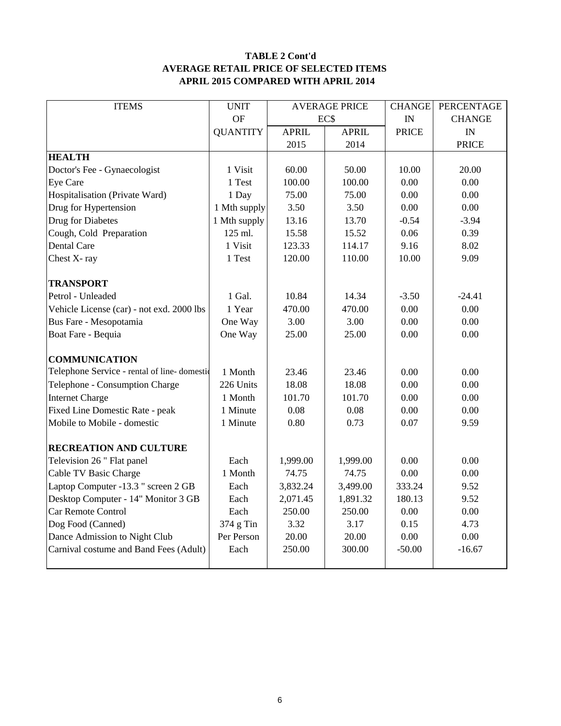### **TABLE 2 Cont'd AVERAGE RETAIL PRICE OF SELECTED ITEMS APRIL 2015 COMPARED WITH APRIL 2014**

| <b>ITEMS</b>                                | <b>UNIT</b>     | <b>AVERAGE PRICE</b> |               | <b>CHANGE</b> | PERCENTAGE    |
|---------------------------------------------|-----------------|----------------------|---------------|---------------|---------------|
|                                             | <b>OF</b>       |                      | EC\$          | IN            | <b>CHANGE</b> |
|                                             | <b>QUANTITY</b> | <b>APRIL</b>         | <b>APRIL</b>  | <b>PRICE</b>  | IN            |
|                                             |                 | 2015                 | 2014          |               | <b>PRICE</b>  |
| <b>HEALTH</b>                               |                 |                      |               |               |               |
| Doctor's Fee - Gynaecologist                | 1 Visit         | 60.00                | 50.00         | 10.00         | 20.00         |
| Eye Care                                    | 1 Test          | 100.00               | 100.00        | 0.00          | 0.00          |
| Hospitalisation (Private Ward)              | 1 Day           | 75.00                | 75.00         | 0.00          | 0.00          |
| Drug for Hypertension                       | 1 Mth supply    | 3.50                 | 3.50          | 0.00          | 0.00          |
| Drug for Diabetes                           | 1 Mth supply    | 13.16                | 13.70         | $-0.54$       | $-3.94$       |
| Cough, Cold Preparation                     | 125 ml.         | 15.58                | 15.52         | 0.06          | 0.39          |
| Dental Care                                 | 1 Visit         | 123.33               | 114.17        | 9.16          | 8.02          |
| Chest X-ray                                 | 1 Test          | 120.00               | 110.00        | 10.00         | 9.09          |
|                                             |                 |                      |               |               |               |
| <b>TRANSPORT</b>                            |                 |                      |               |               |               |
| Petrol - Unleaded                           | 1 Gal.          | 10.84                | 14.34         | $-3.50$       | $-24.41$      |
| Vehicle License (car) - not exd. 2000 lbs   | 1 Year          | 470.00               | 470.00        | 0.00          | 0.00          |
| Bus Fare - Mesopotamia                      | One Way         | 3.00                 | 3.00          | 0.00          | 0.00          |
| Boat Fare - Bequia                          | One Way         | 25.00                | 25.00<br>0.00 |               | 0.00          |
|                                             |                 |                      |               |               |               |
| <b>COMMUNICATION</b>                        |                 |                      |               |               |               |
| Telephone Service - rental of line-domestic | 1 Month         | 23.46                | 23.46         | 0.00          | 0.00          |
| Telephone - Consumption Charge              | 226 Units       | 18.08                | 18.08         | 0.00          | 0.00          |
| <b>Internet Charge</b>                      | 1 Month         | 101.70               | 101.70        | 0.00          | 0.00          |
| Fixed Line Domestic Rate - peak             | 1 Minute        | 0.08                 | 0.08          | 0.00          | 0.00          |
| Mobile to Mobile - domestic                 | 1 Minute        | 0.80                 | 0.73          | 0.07          | 9.59          |
|                                             |                 |                      |               |               |               |
| <b>RECREATION AND CULTURE</b>               |                 |                      |               |               |               |
| Television 26 " Flat panel                  | Each            | 1,999.00             | 1,999.00      | 0.00          | 0.00          |
| Cable TV Basic Charge                       | 1 Month         | 74.75                | 74.75         | 0.00          | 0.00          |
| Laptop Computer -13.3 " screen 2 GB         | Each            | 3,832.24             | 3,499.00      | 333.24        | 9.52          |
| Desktop Computer - 14" Monitor 3 GB         | Each            | 2,071.45             | 1,891.32      | 180.13        | 9.52          |
| Car Remote Control                          | Each            | 250.00               | 250.00        | 0.00          | 0.00          |
| Dog Food (Canned)                           | 374 g Tin       | 3.32                 | 3.17          | 0.15          | 4.73          |
| Dance Admission to Night Club               | Per Person      | 20.00                | 20.00         | 0.00          | 0.00          |
| Carnival costume and Band Fees (Adult)      | Each            | 250.00               | 300.00        | $-50.00$      | $-16.67$      |
|                                             |                 |                      |               |               |               |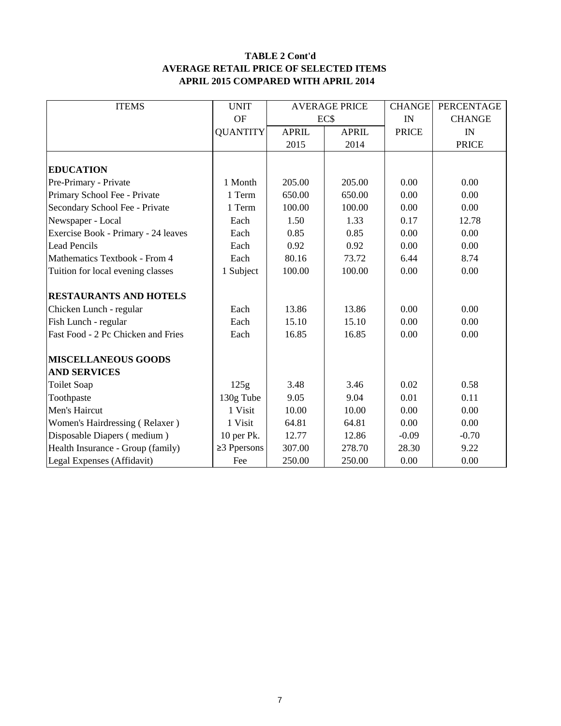#### **TABLE 2 Cont'd AVERAGE RETAIL PRICE OF SELECTED ITEMS APRIL 2015 COMPARED WITH APRIL 2014**

| <b>ITEMS</b>                        | <b>UNIT</b>       | <b>AVERAGE PRICE</b> |              | <b>CHANGE</b> | PERCENTAGE    |
|-------------------------------------|-------------------|----------------------|--------------|---------------|---------------|
|                                     | <b>OF</b>         | EC\$                 |              | IN            | <b>CHANGE</b> |
|                                     | <b>QUANTITY</b>   | <b>APRIL</b>         | <b>APRIL</b> | <b>PRICE</b>  | IN            |
|                                     |                   | 2015                 | 2014         |               | <b>PRICE</b>  |
|                                     |                   |                      |              |               |               |
| <b>EDUCATION</b>                    |                   |                      |              |               |               |
| Pre-Primary - Private               | 1 Month           | 205.00               | 205.00       | 0.00          | 0.00          |
| Primary School Fee - Private        | 1 Term            | 650.00               | 650.00       | 0.00          | 0.00          |
| Secondary School Fee - Private      | 1 Term            | 100.00               | 100.00       | 0.00          | 0.00          |
| Newspaper - Local                   | Each              | 1.50                 | 1.33         | 0.17          | 12.78         |
| Exercise Book - Primary - 24 leaves | Each              | 0.85                 | 0.85         | 0.00          | 0.00          |
| <b>Lead Pencils</b>                 | Each              | 0.92                 | 0.92         | 0.00          | 0.00          |
| Mathematics Textbook - From 4       | Each              | 80.16                | 73.72        | 6.44          | 8.74          |
| Tuition for local evening classes   | 1 Subject         | 100.00               | 100.00       | 0.00          | 0.00          |
|                                     |                   |                      |              |               |               |
| <b>RESTAURANTS AND HOTELS</b>       |                   |                      |              |               |               |
| Chicken Lunch - regular             | Each              | 13.86                | 13.86        | 0.00          | 0.00          |
| Fish Lunch - regular                | Each              | 15.10                | 15.10        | 0.00          | 0.00          |
| Fast Food - 2 Pc Chicken and Fries  | Each              | 16.85                | 16.85        |               | 0.00          |
|                                     |                   |                      |              |               |               |
| <b>MISCELLANEOUS GOODS</b>          |                   |                      |              |               |               |
| <b>AND SERVICES</b>                 |                   |                      |              |               |               |
| <b>Toilet Soap</b>                  | 125g              | 3.48                 | 3.46         | 0.02          | 0.58          |
| Toothpaste                          | 130g Tube         | 9.05                 | 9.04         | 0.01          | 0.11          |
| Men's Haircut                       | 1 Visit           | 10.00                | 10.00        | 0.00          | 0.00          |
| Women's Hairdressing (Relaxer)      | 1 Visit           | 64.81                | 64.81        | 0.00          | 0.00          |
| Disposable Diapers (medium)         | 10 per Pk.        | 12.77                | 12.86        | $-0.09$       | $-0.70$       |
| Health Insurance - Group (family)   | $\geq$ 3 Ppersons | 307.00               | 278.70       | 28.30         | 9.22          |
| Legal Expenses (Affidavit)          | Fee               | 250.00               | 250.00       | 0.00          | 0.00          |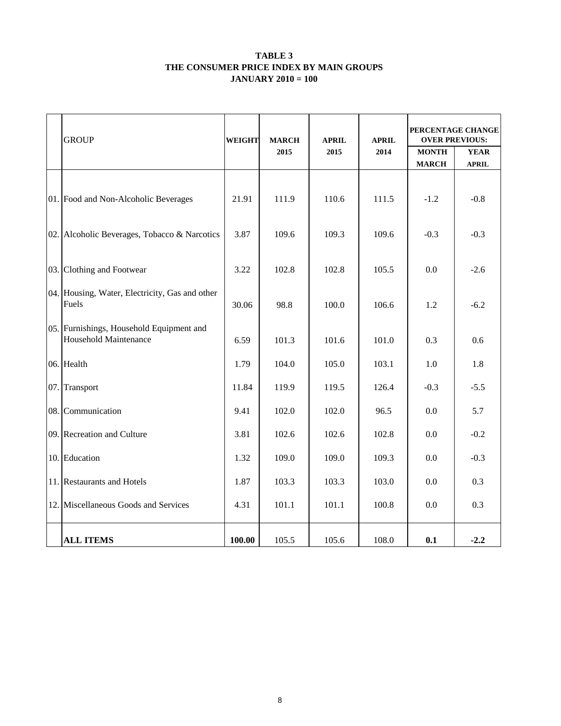#### **TABLE 3 THE CONSUMER PRICE INDEX BY MAIN GROUPS JANUARY 2010 = 100**

|     | <b>GROUP</b><br><b>WEIGHT</b>                                     |        | <b>MARCH</b><br><b>APRIL</b><br>2015<br>2015 |       | <b>APRIL</b><br>2014 | PERCENTAGE CHANGE<br><b>OVER PREVIOUS:</b><br><b>MONTH</b><br><b>YEAR</b> |              |  |
|-----|-------------------------------------------------------------------|--------|----------------------------------------------|-------|----------------------|---------------------------------------------------------------------------|--------------|--|
|     |                                                                   |        |                                              |       |                      | <b>MARCH</b>                                                              | <b>APRIL</b> |  |
|     | 01. Food and Non-Alcoholic Beverages                              | 21.91  | 111.9                                        | 110.6 | 111.5                | $-1.2$                                                                    | $-0.8$       |  |
|     | 02. Alcoholic Beverages, Tobacco & Narcotics                      | 3.87   | 109.6                                        | 109.3 | 109.6                | $-0.3$                                                                    | $-0.3$       |  |
| 03. | Clothing and Footwear                                             | 3.22   | 102.8                                        | 102.8 | 105.5                | 0.0                                                                       | $-2.6$       |  |
|     | 04. Housing, Water, Electricity, Gas and other<br>Fuels           | 30.06  | 98.8                                         | 100.0 | 106.6                | 1.2                                                                       | $-6.2$       |  |
|     | 05. Furnishings, Household Equipment and<br>Household Maintenance | 6.59   | 101.3                                        | 101.6 | 101.0                | 0.3                                                                       | 0.6          |  |
|     | 06. Health                                                        | 1.79   | 104.0                                        | 105.0 | 103.1                | 1.0                                                                       | 1.8          |  |
| 07. | Transport                                                         | 11.84  | 119.9                                        | 119.5 | 126.4                | $-0.3$                                                                    | $-5.5$       |  |
| 08. | Communication                                                     | 9.41   | 102.0                                        | 102.0 | 96.5                 | 0.0                                                                       | 5.7          |  |
|     | 09. Recreation and Culture                                        | 3.81   | 102.6                                        | 102.6 | 102.8                | 0.0                                                                       | $-0.2$       |  |
|     | 10. Education                                                     | 1.32   | 109.0                                        | 109.0 | 109.3                | 0.0                                                                       | $-0.3$       |  |
|     | 11. Restaurants and Hotels                                        | 1.87   | 103.3                                        | 103.3 | 103.0                | $0.0\,$                                                                   | 0.3          |  |
|     | 12. Miscellaneous Goods and Services                              | 4.31   | 101.1                                        | 101.1 | 100.8                | 0.0                                                                       | 0.3          |  |
|     | <b>ALL ITEMS</b>                                                  | 100.00 | 105.5                                        | 105.6 | 108.0                | 0.1                                                                       | $-2.2$       |  |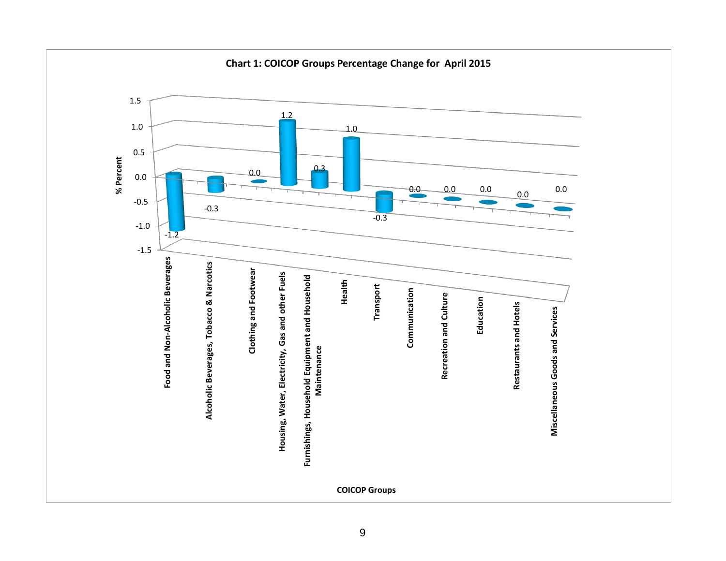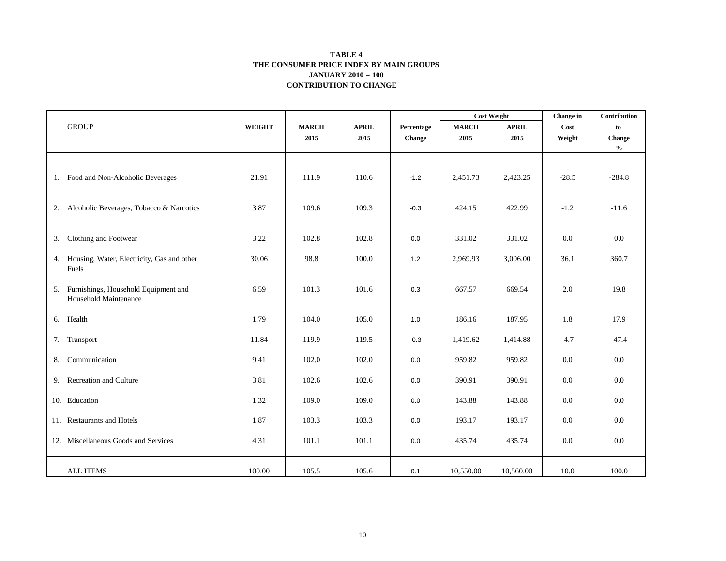#### **CONTRIBUTION TO CHANGE TABLE 4 THE CONSUMER PRICE INDEX BY MAIN GROUPS JANUARY 2010 = 100**

|    |                                            |               |              |              |               | <b>Cost Weight</b> |              | Change in | Contribution                       |
|----|--------------------------------------------|---------------|--------------|--------------|---------------|--------------------|--------------|-----------|------------------------------------|
|    | <b>GROUP</b>                               | <b>WEIGHT</b> | <b>MARCH</b> | <b>APRIL</b> | Percentage    | <b>MARCH</b>       | <b>APRIL</b> | Cost      | to                                 |
|    |                                            |               | 2015         | 2015         | <b>Change</b> | 2015               | 2015         | Weight    | Change                             |
|    |                                            |               |              |              |               |                    |              |           | $\mathbf{0}_{\mathbf{0}}^{\prime}$ |
|    |                                            |               |              |              |               |                    |              |           |                                    |
|    | 1. Food and Non-Alcoholic Beverages        | 21.91         | 111.9        | 110.6        | $-1.2$        | 2,451.73           | 2,423.25     | $-28.5$   | $-284.8$                           |
| 2. | Alcoholic Beverages, Tobacco & Narcotics   | 3.87          | 109.6        | 109.3        | $-0.3$        | 424.15             | 422.99       | $-1.2$    | $-11.6$                            |
|    |                                            |               |              |              |               |                    |              |           |                                    |
| 3. | Clothing and Footwear                      | 3.22          | 102.8        | 102.8        | 0.0           | 331.02             | 331.02       | 0.0       | 0.0                                |
| 4. | Housing, Water, Electricity, Gas and other | 30.06         | 98.8         | 100.0        | $1.2$         | 2,969.93           | 3,006.00     | 36.1      | 360.7                              |
|    | Fuels                                      |               |              |              |               |                    |              |           |                                    |
| 5. | Furnishings, Household Equipment and       | 6.59          | 101.3        | 101.6        | $0.3\,$       | 667.57             | 669.54       | 2.0       | 19.8                               |
|    | Household Maintenance                      |               |              |              |               |                    |              |           |                                    |
| 6. | Health                                     | 1.79          | 104.0        | 105.0        | 1.0           | 186.16             | 187.95       | 1.8       | 17.9                               |
| 7. | Transport                                  | 11.84         | 119.9        | 119.5        | $-0.3$        | 1,419.62           | 1,414.88     | $-4.7$    | $-47.4$                            |
| 8. | Communication                              | 9.41          | 102.0        | 102.0        | 0.0           | 959.82             | 959.82       | 0.0       | $0.0\,$                            |
|    | 9. Recreation and Culture                  | 3.81          | 102.6        | 102.6        | 0.0           | 390.91             | 390.91       | 0.0       | 0.0                                |
|    | 10. Education                              | 1.32          | 109.0        | 109.0        | 0.0           | 143.88             | 143.88       | 0.0       | $0.0\,$                            |
|    | 11. Restaurants and Hotels                 | 1.87          | 103.3        | 103.3        | 0.0           | 193.17             | 193.17       | 0.0       | $0.0\,$                            |
|    | 12. Miscellaneous Goods and Services       | 4.31          | 101.1        | 101.1        | 0.0           | 435.74             | 435.74       | 0.0       | $0.0\,$                            |
|    | <b>ALL ITEMS</b>                           | 100.00        | 105.5        | 105.6        | 0.1           | 10,550.00          | 10,560.00    | 10.0      | 100.0                              |